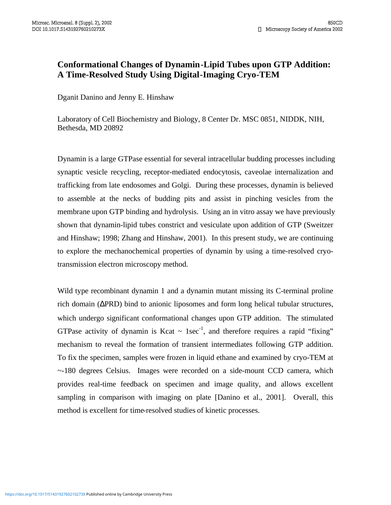## **Conformational Changes of Dynamin-Lipid Tubes upon GTP Addition: A Time-Resolved Study Using Digital-Imaging Cryo-TEM**

Dganit Danino and Jenny E. Hinshaw<br>Laboratory of Cell Biochemistry and Biology, 8 Center Dr. MSC 0851, NIDDK, NIH, Bethesda, MD 20892

Dynamin is a large GTPase essential for several intracellular budding processes including synaptic vesicle recycling, receptor-mediated endocytosis, caveolae internalization and trafficking from late endosomes and Golgi. During these processes, dynamin is believed to assemble at the necks of budding pits and assist in pinching vesicles from the membrane upon GTP binding and hydrolysis. Using an in vitro assay we have previously shown that dynamin-lipid tubes constrict and vesiculate upon addition of GTP (Sweitzer and Hinshaw; 1998; Zhang and Hinshaw, 2001). In this present study, we are continuing to explore the mechanochemical properties of dynamin by using a time-resolved cryotransmission electron microscopy method.

Wild type recombinant dynamin 1 and a dynamin mutant missing its C-terminal proline rich domain (∆PRD) bind to anionic liposomes and form long helical tubular structures, which undergo significant conformational changes upon GTP addition. The stimulated GTPase activity of dynamin is Kcat  $\sim 1$ sec<sup>-1</sup>, and therefore requires a rapid "fixing" mechanism to reveal the formation of transient intermediates following GTP addition.<br>To fix the specimen, samples were frozen in liquid ethane and examined by cryo-TEM at<br>~-180 degrees Celsius. Images were recorded on a si provides real-time feedback on specimen and image quality, and allows excellent sampling in comparison with imaging on plate [Danino et al., 2001]. Overall, this method is excellent for time-resolved studies of kinetic processes.